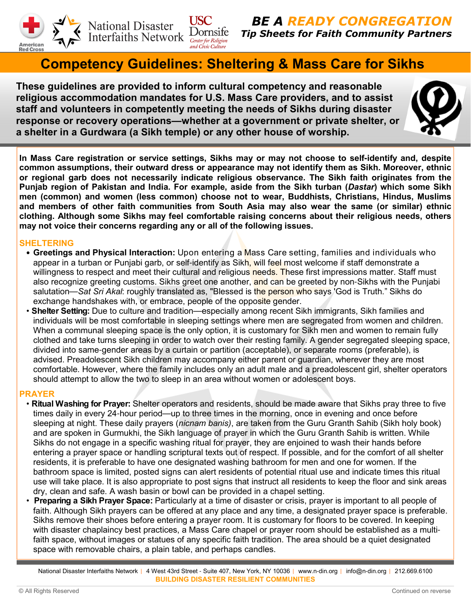

National Disaster<br>Interfaiths Network Dornsife

BE A READY CONGREGATION Tip Sheets for Faith Community Partners

# Competency Guidelines: Sheltering & Mass Care for Sikhs

These guidelines are provided to inform cultural competency and reasonable religious accommodation mandates for U.S. Mass Care providers, and to assist staff and volunteers in competently meeting the needs of Sikhs during disaster response or recovery operations**—**whether at a government or private shelter, or a shelter in a Gurdwara (a Sikh temple) or any other house of worship.

**USC** 



In Mass Care registration or service settings, Sikhs may or may not choose to self**-**identify and, despite common assumptions, their outward dress or appearance may not identify them as Sikh. Moreover, ethnic or regional garb does not necessarily indicate religious observance. The Sikh faith originates from the Punjab region of Pakistan and India. For example, aside from the Sikh turban (Dastar) which some Sikh men (common) and women (less common) choose not to wear, Buddhists, Christians, Hindus, Muslims and members of other faith communities from South Asia may also wear the same (or similar) ethnic clothing. Although some Sikhs may feel comfortable raising concerns about their religious needs, others may not voice their concerns regarding any or all of the following issues.

## SHELTERING

- Greetings and Physical Interaction: Upon entering a Mass Care setting, families and individuals who appear in a turban or Punjabi garb, or self-identify as Sikh, will feel most welcome if staff demonstrate a willingness to respect and meet their cultural and religious needs. These first impressions matter. Staff must also recognize greeting customs. Sikhs greet one another, and can be greeted by non-Sikhs with the Punjabi salutation—Sat Sri Akal: roughly translated as, "Blessed is the person who says 'God is Truth." Sikhs do exchange handshakes with, or embrace, people of the opposite gender.
- Shelter Setting: Due to culture and tradition—especially among recent Sikh immigrants, Sikh families and individuals will be most comfortable in sleeping settings where men are segregated from women and children. When a communal sleeping space is the only option, it is customary for Sikh men and women to remain fully clothed and take turns sleeping in order to watch over their resting family. A gender segregated sleeping space, divided into same-gender areas by a curtain or partition (acceptable), or separate rooms (preferable), is advised. Preadolescent Sikh children may accompany either parent or guardian, wherever they are most comfortable. However, where the family includes only an adult male and a preadolescent girl, shelter operators should attempt to allow the two to sleep in an area without women or adolescent boys.

# PRAYER

- Ritual Washing for Prayer: Shelter operators and residents, should be made aware that Sikhs pray three to five times daily in every 24-hour period—up to three times in the morning, once in evening and once before sleeping at night. These daily prayers (nicnam banis), are taken from the Guru Granth Sahib (Sikh holy book) and are spoken in Gurmukhi, the Sikh language of prayer in which the Guru Granth Sahib is written. While Sikhs do not engage in a specific washing ritual for prayer, they are enjoined to wash their hands before entering a prayer space or handling scriptural texts out of respect. If possible, and for the comfort of all shelter residents, it is preferable to have one designated washing bathroom for men and one for women. If the bathroom space is limited, posted signs can alert residents of potential ritual use and indicate times this ritual use will take place. It is also appropriate to post signs that instruct all residents to keep the floor and sink areas dry, clean and safe. A wash basin or bowl can be provided in a chapel setting.
- Preparing a Sikh Prayer Space: Particularly at a time of disaster or crisis, prayer is important to all people of faith. Although Sikh prayers can be offered at any place and any time, a designated prayer space is preferable. Sikhs remove their shoes before entering a prayer room. It is customary for floors to be covered. In keeping with disaster chaplaincy best practices, a Mass Care chapel or prayer room should be established as a multifaith space, without images or statues of any specific faith tradition. The area should be a quiet designated space with removable chairs, a plain table, and perhaps candles.

National Disaster Interfaiths Network | 4 West 43rd Street - Suite 407, New York, NY 10036 | www.n-din.org | info@n-din.org | 212.669.6100 BUILDING DISASTER RESILIENT COMMUNITIES